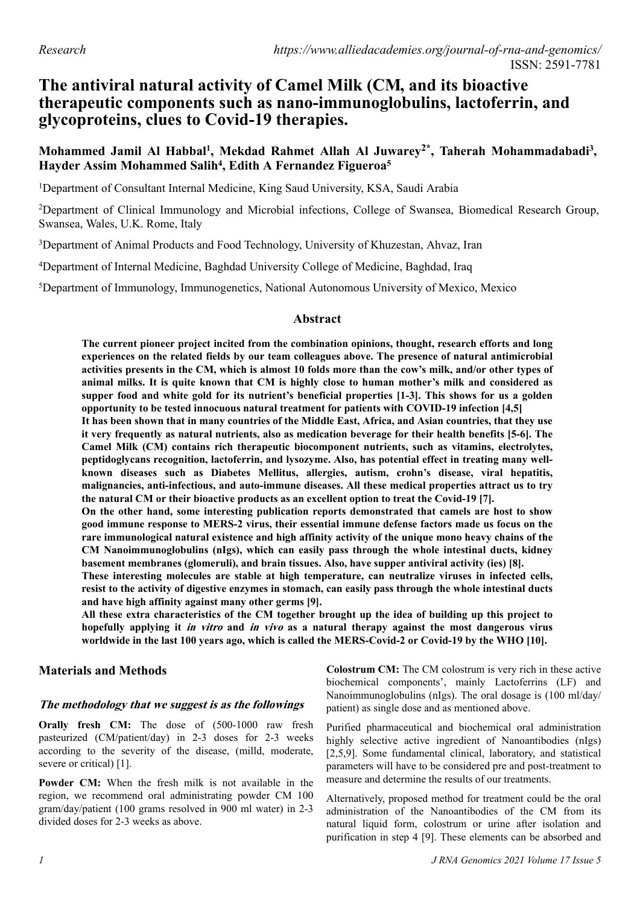# **The antiviral natural activity of Camel Milk (CM, and its bioactive therapeutic components such as nano-immunoglobulins, lactoferrin, and glycoproteins, clues to Covid-19 therapies.**

## **Mohammed Jamil Al Habbal<sup>1</sup> , Mekdad Rahmet Allah Al Juwarey2\* , Taherah Mohammadabadi<sup>3</sup> , Hayder Assim Mohammed Salih<sup>4</sup> , Edith A Fernandez Figueroa<sup>5</sup>**

<sup>1</sup>Department of Consultant Internal Medicine, King Saud University, KSA, Saudi Arabia

<sup>2</sup>Department of Clinical Immunology and Microbial infections, College of Swansea, Biomedical Research Group, Swansea, Wales, U.K. Rome, Italy

<sup>3</sup>Department of Animal Products and Food Technology, University of Khuzestan, Ahvaz, Iran

<sup>4</sup>Department of Internal Medicine, Baghdad University College of Medicine, Baghdad, Iraq

<sup>5</sup>Department of Immunology, Immunogenetics, National Autonomous University of Mexico, Mexico

#### **Abstract**

**The current pioneer project incited from the combination opinions, thought, research efforts and long experiences on the related fields by our team colleagues above. The presence of natural antimicrobial activities presents in the CM, which is almost 10 folds more than the cow's milk, and/or other types of animal milks. It is quite known that CM is highly close to human mother's milk and considered as supper food and white gold for its nutrient's beneficial properties [1-3]. This shows for us a golden opportunity to be tested innocuous natural treatment for patients with COVID-19 infection [4,5]**

**It has been shown that in many countries of the Middle East, Africa, and Asian countries, that they use it very frequently as natural nutrients, also as medication beverage for their health benefits [5-6]. The Camel Milk (CM) contains rich therapeutic biocomponent nutrients, such as vitamins, electrolytes, peptidoglycans recognition, lactoferrin, and lysozyme. Also, has potential effect in treating many wellknown diseases such as Diabetes Mellitus, allergies, autism, crohn's disease, viral hepatitis, malignancies, anti-infectious, and auto-immune diseases. All these medical properties attract us to try the natural CM or their bioactive products as an excellent option to treat the Covid-19 [7].**

**On the other hand, some interesting publication reports demonstrated that camels are host to show good immune response to MERS-2 virus, their essential immune defense factors made us focus on the rare immunological natural existence and high affinity activity of the unique mono heavy chains of the CM Nanoimmunoglobulins (nIgs), which can easily pass through the whole intestinal ducts, kidney basement membranes (glomeruli), and brain tissues. Also, have supper antiviral activity (ies) [8].**

**These interesting molecules are stable at high temperature, can neutralize viruses in infected cells, resist to the activity of digestive enzymes in stomach, can easily pass through the whole intestinal ducts and have high affinity against many other germs [9].**

**All these extra characteristics of the CM together brought up the idea of building up this project to hopefully applying it in vitro and in vivo as a natural therapy against the most dangerous virus worldwide in the last 100 years ago, which is called the MERS-Covid-2 or Covid-19 by the WHO [10].**

#### **Materials and Methods**

### **The methodology that we suggest is as the followings**

**Orally fresh CM:** The dose of (500-1000 raw fresh pasteurized (CM/patient/day) in 2-3 doses for 2-3 weeks according to the severity of the disease, (milld, moderate, severe or critical) [1].

**Powder CM:** When the fresh milk is not available in the region, we recommend oral administrating powder CM 100 gram/day/patient (100 grams resolved in 900 ml water) in 2-3 divided doses for 2-3 weeks as above.

**Colostrum CM:** The CM colostrum is very rich in these active biochemical components', mainly Lactoferrins (LF) and Nanoimmunoglobulins (nIgs). The oral dosage is (100 ml/day/ patient) as single dose and as mentioned above.

Purified pharmaceutical and biochemical oral administration highly selective active ingredient of Nanoantibodies (nIgs) [2,5,9]. Some fundamental clinical, laboratory, and statistical parameters will have to be considered pre and post-treatment to measure and determine the results of our treatments.

Alternatively, proposed method for treatment could be the oral administration of the Nanoantibodies of the CM from its natural liquid form, colostrum or urine after isolation and purification in step 4 [9]. These elements can be absorbed and